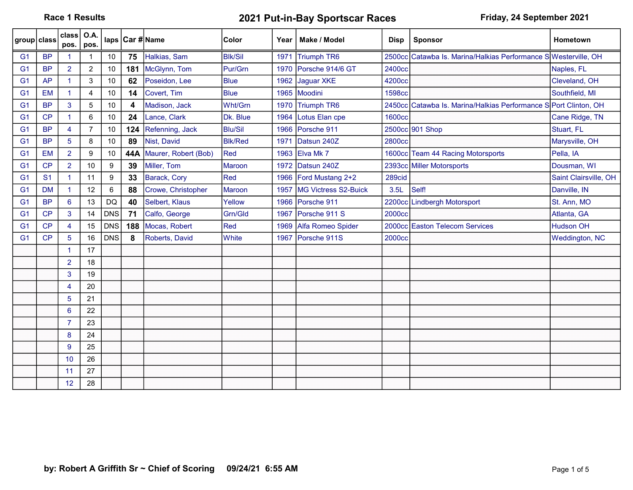Race 1 Results **2021 Put-in-Bay Sportscar Races** Friday, 24 September 2021

| group class    |                | class $\overline{)$ O.A.<br>pos. | pos.           |                  |     | laps Car #Name       | Color          | Year | Make / Model          | <b>Disp</b> | <b>Sponsor</b>                                                   | <b>Hometown</b>       |
|----------------|----------------|----------------------------------|----------------|------------------|-----|----------------------|----------------|------|-----------------------|-------------|------------------------------------------------------------------|-----------------------|
| G <sub>1</sub> | <b>BP</b>      |                                  |                | 10               | 75  | Halkias, Sam         | <b>BIK/Sil</b> | 1971 | <b>Triumph TR6</b>    |             | 2500cc Catawba Is. Marina/Halkias Performance SWesterville, OH   |                       |
| G <sub>1</sub> | <b>BP</b>      | $\overline{2}$                   | $\overline{c}$ | 10               | 181 | McGlynn, Tom         | Pur/Grn        | 1970 | Porsche 914/6 GT      | 2400cc      |                                                                  | Naples, FL            |
| G <sub>1</sub> | <b>AP</b>      | $\blacktriangleleft$             | 3              | 10               | 62  | Poseidon, Lee        | <b>Blue</b>    | 1962 | Jaguar XKE            | 4200cc      |                                                                  | Cleveland, OH         |
| G <sub>1</sub> | <b>EM</b>      |                                  | 4              | 10               | 14  | Covert, Tim          | <b>Blue</b>    |      | 1965 Moodini          | 1598cc      |                                                                  | Southfield, MI        |
| G <sub>1</sub> | <b>BP</b>      | 3                                | 5              | 10               | 4   | Madison, Jack        | Wht/Grn        | 1970 | Triumph TR6           |             | 2450cc Catawba Is. Marina/Halkias Performance S Port Clinton, OH |                       |
| G <sub>1</sub> | CP             | $\blacktriangleleft$             | 6              | 10               | 24  | Lance, Clark         | Dk. Blue       | 1964 | Lotus Elan cpe        | 1600cc      |                                                                  | Cane Ridge, TN        |
| G <sub>1</sub> | <b>BP</b>      | $\overline{4}$                   | 7              | 10               | 124 | Refenning, Jack      | <b>Blu/Sil</b> |      | 1966 Porsche 911      |             | 2500cc 901 Shop                                                  | Stuart, FL            |
| G <sub>1</sub> | <b>BP</b>      | 5                                | 8              | 10               | 89  | Nist, David          | <b>Blk/Red</b> | 1971 | Datsun 240Z           | 2800cc      |                                                                  | Marysville, OH        |
| G <sub>1</sub> | <b>EM</b>      | $\overline{2}$                   | 9              | 10               | 44A | Maurer, Robert (Bob) | Red            | 1963 | Elva Mk 7             |             | 1600cc Team 44 Racing Motorsports                                | Pella, IA             |
| G <sub>1</sub> | CP             | $\overline{2}$                   | 10             | $\boldsymbol{9}$ | 39  | Miller, Tom          | Maroon         | 1972 | Datsun 240Z           |             | 2393cc Miller Motorsports                                        | Dousman, WI           |
| G <sub>1</sub> | S <sub>1</sub> | $\blacktriangleleft$             | 11             | 9                | 33  | Barack, Cory         | Red            |      | 1966 Ford Mustang 2+2 | 289cid      |                                                                  | Saint Clairsville, OH |
| G <sub>1</sub> | <b>DM</b>      | $\blacktriangleleft$             | 12             | $\,6\,$          | 88  | Crowe, Christopher   | Maroon         | 1957 | MG Victress S2-Buick  | 3.5L        | Self!                                                            | Danville, IN          |
| G <sub>1</sub> | <b>BP</b>      | 6                                | 13             | <b>DQ</b>        | 40  | Selbert, Klaus       | Yellow         | 1966 | Porsche 911           |             | 2200cc Lindbergh Motorsport                                      | St. Ann, MO           |
| G <sub>1</sub> | CP             | 3                                | 14             | <b>DNS</b>       | 71  | Calfo, George        | Grn/Gld        | 1967 | Porsche 911 S         | 2000cc      |                                                                  | Atlanta, GA           |
| G <sub>1</sub> | <b>CP</b>      | $\overline{4}$                   | 15             | <b>DNS</b>       | 188 | Mocas, Robert        | Red            | 1969 | Alfa Romeo Spider     |             | 2000cc Easton Telecom Services                                   | <b>Hudson OH</b>      |
| G <sub>1</sub> | CP             | 5                                | 16             | <b>DNS</b>       | 8   | Roberts, David       | White          | 1967 | Porsche 911S          | 2000cc      |                                                                  | Weddington, NC        |
|                |                | $\blacktriangleleft$             | 17             |                  |     |                      |                |      |                       |             |                                                                  |                       |
|                |                | $\overline{2}$                   | 18             |                  |     |                      |                |      |                       |             |                                                                  |                       |
|                |                | 3                                | 19             |                  |     |                      |                |      |                       |             |                                                                  |                       |
|                |                | 4                                | 20             |                  |     |                      |                |      |                       |             |                                                                  |                       |
|                |                | 5                                | 21             |                  |     |                      |                |      |                       |             |                                                                  |                       |
|                |                | $6\phantom{a}$                   | 22             |                  |     |                      |                |      |                       |             |                                                                  |                       |
|                |                | $\overline{7}$                   | 23             |                  |     |                      |                |      |                       |             |                                                                  |                       |
|                |                | 8                                | 24             |                  |     |                      |                |      |                       |             |                                                                  |                       |
|                |                | 9                                | 25             |                  |     |                      |                |      |                       |             |                                                                  |                       |
|                |                | 10                               | 26             |                  |     |                      |                |      |                       |             |                                                                  |                       |
|                |                | 11                               | 27             |                  |     |                      |                |      |                       |             |                                                                  |                       |
|                |                | 12                               | 28             |                  |     |                      |                |      |                       |             |                                                                  |                       |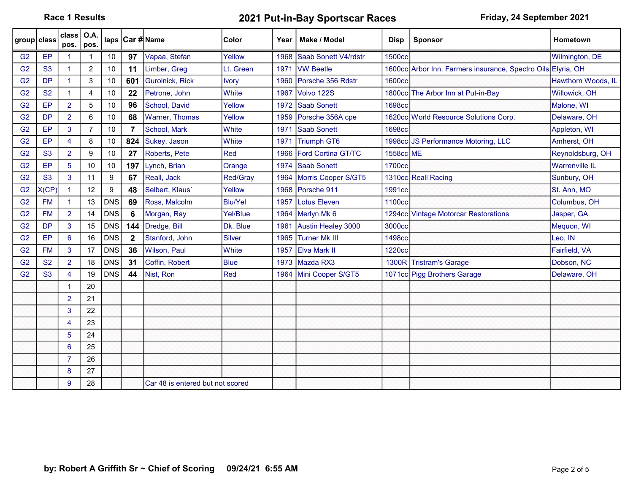Race 1 Results **2021 Put-in-Bay Sportscar Races** Friday, 24 September 2021

| group class    |                | class  <br>pos.      | <b>O.A.</b><br>pos. |            |             | laps   Car # Name                | Color          | Year | Make / Model              | <b>Disp</b>        | <b>Sponsor</b>                                               | <b>Hometown</b>       |
|----------------|----------------|----------------------|---------------------|------------|-------------|----------------------------------|----------------|------|---------------------------|--------------------|--------------------------------------------------------------|-----------------------|
| G <sub>2</sub> | EP             | 1                    |                     | 10         | 97          | Vapaa, Stefan                    | Yellow         | 1968 | Saab Sonett V4/rdstr      | <b>1500cc</b>      |                                                              | Wilmington, DE        |
| G <sub>2</sub> | <b>S3</b>      | $\mathbf{1}$         | $\overline{c}$      | 10         | 11          | Limber, Greg                     | Lt. Green      | 1971 | <b>VW Beetle</b>          |                    | 1600cc Arbor Inn. Farmers insurance, Spectro Oils Elyria, OH |                       |
| G <sub>2</sub> | <b>DP</b>      | $\mathbf{1}$         | 3                   | 10         | 601         | <b>Gurolnick, Rick</b>           | Ivory          | 1960 | Porsche 356 Rdstr         | 1600cc             |                                                              | Hawthorn Woods, IL    |
| G <sub>2</sub> | <b>S2</b>      | $\mathbf{1}$         | 4                   | 10         | 22          | Petrone, John                    | White          | 1967 | Volvo 122S                |                    | 1800cc The Arbor Inn at Put-in-Bay                           | Willowick, OH         |
| G <sub>2</sub> | EP             | $\overline{2}$       | 5                   | 10         | 96          | School, David                    | Yellow         | 1972 | <b>Saab Sonett</b>        | <b>1698cc</b>      |                                                              | Malone, WI            |
| G <sub>2</sub> | <b>DP</b>      | $\overline{2}$       | 6                   | $10$       | 68          | Warner, Thomas                   | Yellow         | 1959 | Porsche 356A cpe          |                    | 1620cc World Resource Solutions Corp.                        | Delaware, OH          |
| G <sub>2</sub> | EP             | 3                    | 7                   | 10         | 7           | School, Mark                     | White          | 1971 | <b>Saab Sonett</b>        | <b>1698cc</b>      |                                                              | Appleton, WI          |
| G <sub>2</sub> | EP             | 4                    | 8                   | 10         | 824         | Sukey, Jason                     | <b>White</b>   | 1971 | <b>Triumph GT6</b>        |                    | 1998cc JS Performance Motoring, LLC                          | Amherst, OH           |
| G <sub>2</sub> | <b>S3</b>      | $\overline{2}$       | 9                   | 10         | 27          | Roberts, Pete                    | Red            | 1966 | <b>Ford Cortina GT/TC</b> | 1558cc ME          |                                                              | Reynoldsburg, OH      |
| G <sub>2</sub> | EP             | 5                    | 10                  | 10         | 197         | Lynch, Brian                     | Orange         | 1974 | <b>Saab Sonett</b>        | 1700cc             |                                                              | <b>Warrenville IL</b> |
| G <sub>2</sub> | S <sub>3</sub> | 3                    | 11                  | 9          | 67          | Reall, Jack                      | Red/Gray       | 1964 | Morris Cooper S/GT5       |                    | 1310cc Reall Racing                                          | Sunbury, OH           |
| G <sub>2</sub> | X(CP)          | $\blacktriangleleft$ | 12                  | 9          | 48          | Selbert, Klaus'                  | Yellow         | 1968 | Porsche 911               | 1991cc             |                                                              | St. Ann, MO           |
| G <sub>2</sub> | <b>FM</b>      | $\blacktriangleleft$ | 13                  | <b>DNS</b> | 69          | Ross, Malcolm                    | <b>Blu/Yel</b> | 1957 | Lotus Eleven              | 1100 <sub>cc</sub> |                                                              | Columbus, OH          |
| G <sub>2</sub> | <b>FM</b>      | $\overline{2}$       | 14                  | <b>DNS</b> | 6           | Morgan, Ray                      | Yel/Blue       |      | 1964 Merlyn Mk 6          |                    | 1294cc Vintage Motorcar Restorations                         | Jasper, GA            |
| G <sub>2</sub> | <b>DP</b>      | 3                    | 15                  | <b>DNS</b> | 144         | Dredge, Bill                     | Dk. Blue       | 1961 | Austin Healey 3000        | 3000cc             |                                                              | Mequon, WI            |
| G <sub>2</sub> | EP             | 6                    | 16                  | <b>DNS</b> | $\mathbf 2$ | Stanford, John                   | Silver         | 1965 | <b>Turner Mk III</b>      | 1498cc             |                                                              | Leo. IN               |
| G <sub>2</sub> | <b>FM</b>      | 3                    | 17                  | <b>DNS</b> | 36          | Wilson, Paul                     | White          | 1957 | <b>Elva Mark II</b>       | 1220cc             |                                                              | Fairfield, VA         |
| G <sub>2</sub> | <b>S2</b>      | $\overline{2}$       | 18                  | <b>DNS</b> | 31          | Coffin, Robert                   | <b>Blue</b>    | 1973 | Mazda RX3                 |                    | 1300R Tristram's Garage                                      | Dobson, NC            |
| G <sub>2</sub> | S <sub>3</sub> | $\overline{4}$       | 19                  | <b>DNS</b> | 44          | Nist, Ron                        | Red            |      | 1964 Mini Cooper S/GT5    |                    | 1071cc Pigg Brothers Garage                                  | Delaware, OH          |
|                |                | -1                   | 20                  |            |             |                                  |                |      |                           |                    |                                                              |                       |
|                |                | $\overline{2}$       | 21                  |            |             |                                  |                |      |                           |                    |                                                              |                       |
|                |                | 3                    | 22                  |            |             |                                  |                |      |                           |                    |                                                              |                       |
|                |                | 4                    | 23                  |            |             |                                  |                |      |                           |                    |                                                              |                       |
|                |                | 5                    | 24                  |            |             |                                  |                |      |                           |                    |                                                              |                       |
|                |                | 6                    | 25                  |            |             |                                  |                |      |                           |                    |                                                              |                       |
|                |                | $\overline{7}$       | 26                  |            |             |                                  |                |      |                           |                    |                                                              |                       |
|                |                | 8                    | 27                  |            |             |                                  |                |      |                           |                    |                                                              |                       |
|                |                | 9                    | 28                  |            |             | Car 48 is entered but not scored |                |      |                           |                    |                                                              |                       |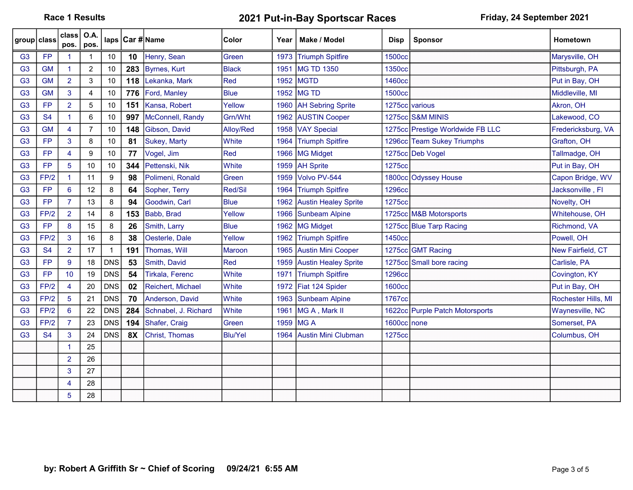Race 1 Results **2021 Put-in-Bay Sportscar Races** Friday, 24 September 2021

| group class    |           | class<br>pos.        | O.A.<br>pos.   |              |           | laps   Car # Name      | Color          | Year | Make / Model                | <b>Disp</b>    | <b>Sponsor</b>                   | <b>Hometown</b>     |
|----------------|-----------|----------------------|----------------|--------------|-----------|------------------------|----------------|------|-----------------------------|----------------|----------------------------------|---------------------|
| G <sub>3</sub> | <b>FP</b> | -1                   |                | 10           | 10        | Henry, Sean            | Green          |      | 1973 Triumph Spitfire       | <b>1500cc</b>  |                                  | Marysville, OH      |
| G <sub>3</sub> | <b>GM</b> | $\blacktriangleleft$ | $\overline{c}$ | 10           | 283       | Byrnes, Kurt           | Black          | 1951 | <b>MG TD 1350</b>           | 1350cc         |                                  | Pittsburgh, PA      |
| G <sub>3</sub> | <b>GM</b> | $\overline{2}$       | 3              | 10           | 118       | Lekanka, Mark          | Red            | 1952 | <b>MGTD</b>                 | 1460cc         |                                  | Put in Bay, OH      |
| G <sub>3</sub> | <b>GM</b> | 3                    | 4              | 10           | 776       | Ford, Manley           | <b>Blue</b>    | 1952 | <b>MG TD</b>                | <b>1500cc</b>  |                                  | Middleville, MI     |
| G <sub>3</sub> | <b>FP</b> | $\overline{2}$       | 5              | 10           | 151       | Kansa, Robert          | Yellow         |      | 1960   AH Sebring Sprite    | 1275cc various |                                  | Akron, OH           |
| G <sub>3</sub> | <b>S4</b> | $\mathbf{1}$         | 6              | 10           | 997       | McConnell, Randy       | Grn/Wht        | 1962 | <b>AUSTIN Cooper</b>        |                | 1275cc S&M MINIS                 | Lakewood, CO        |
| G <sub>3</sub> | <b>GM</b> | $\overline{4}$       | $\overline{7}$ | $10\,$       | 148       | Gibson, David          | Alloy/Red      | 1958 | <b>VAY Special</b>          |                | 1275cc Prestige Worldwide FB LLC | Fredericksburg, VA  |
| G <sub>3</sub> | <b>FP</b> | 3                    | 8              | 10           | 81        | Sukey, Marty           | <b>White</b>   | 1964 | <b>Triumph Spitfire</b>     |                | 1296cc Team Sukey Triumphs       | Grafton, OH         |
| G <sub>3</sub> | <b>FP</b> | $\overline{4}$       | 9              | 10           | 77        | Vogel, Jim             | Red            | 1966 | MG Midget                   |                | 1275cc Deb Vogel                 | Tallmadge, OH       |
| G <sub>3</sub> | <b>FP</b> | 5                    | 10             | 10           | 344       | Pettenski, Nik         | White          | 1959 | <b>AH Sprite</b>            | 1275cc         |                                  | Put in Bay, OH      |
| G <sub>3</sub> | FP/2      | $\blacktriangleleft$ | 11             | 9            | 98        | Polimeni, Ronald       | Green          | 1959 | Volvo PV-544                |                | 1800cc Odyssey House             | Capon Bridge, WV    |
| G <sub>3</sub> | <b>FP</b> | 6                    | 12             | 8            | 64        | Sopher, Terry          | Red/Sil        | 1964 | <b>Triumph Spitfire</b>     | <b>1296cc</b>  |                                  | Jacksonville, Fl    |
| G <sub>3</sub> | <b>FP</b> | $\overline{7}$       | 13             | 8            | 94        | Goodwin, Carl          | <b>Blue</b>    | 1962 | <b>Austin Healey Sprite</b> | 1275cc         |                                  | Novelty, OH         |
| G <sub>3</sub> | FP/2      | $\overline{2}$       | 14             | 8            | 153       | Babb, Brad             | Yellow         | 1966 | Sunbeam Alpine              |                | 1725cc M&B Motorsports           | Whitehouse, OH      |
| G <sub>3</sub> | <b>FP</b> | 8                    | 15             | 8            | 26        | Smith, Larry           | <b>Blue</b>    | 1962 | <b>MG Midget</b>            |                | 1275cc Blue Tarp Racing          | Richmond, VA        |
| G <sub>3</sub> | FP/2      | 3                    | 16             | 8            | 38        | Oesterle, Dale         | Yellow         |      | 1962 Triumph Spitfire       | 1450cc         |                                  | Powell, OH          |
| G <sub>3</sub> | <b>S4</b> | $\overline{2}$       | 17             | $\mathbf{1}$ | 191       | Thomas, Will           | <b>Maroon</b>  | 1965 | <b>Austin Mini Cooper</b>   |                | 1275cc GMT Racing                | New Fairfield, CT   |
| G <sub>3</sub> | <b>FP</b> | 9                    | 18             | <b>DNS</b>   | 53        | Smith, David           | Red            | 1959 | <b>Austin Healey Sprite</b> |                | 1275cc Small bore racing         | Carlisle, PA        |
| G <sub>3</sub> | <b>FP</b> | 10                   | 19             | <b>DNS</b>   | 54        | <b>Tirkala, Ferenc</b> | White          | 1971 | <b>Triumph Spitfire</b>     | <b>1296cc</b>  |                                  | Covington, KY       |
| G <sub>3</sub> | FP/2      | $\overline{4}$       | 20             | <b>DNS</b>   | 02        | Reichert, Michael      | <b>White</b>   | 1972 | Fiat 124 Spider             | <b>1600cc</b>  |                                  | Put in Bay, OH      |
| G <sub>3</sub> | FP/2      | $5\phantom{.0}$      | 21             | <b>DNS</b>   | 70        | Anderson, David        | White          | 1963 | <b>Sunbeam Alpine</b>       | 1767cc         |                                  | Rochester Hills, MI |
| G <sub>3</sub> | FP/2      | $6^{\circ}$          | 22             | <b>DNS</b>   | 284       | Schnabel, J. Richard   | White          | 1961 | MG A, Mark II               |                | 1622cc Purple Patch Motorsports  | Waynesville, NC     |
| G <sub>3</sub> | FP/2      | $\overline{7}$       | 23             | <b>DNS</b>   | 194       | Shafer, Craig          | Green          | 1959 | <b>IMGA</b>                 | 1600cc none    |                                  | Somerset, PA        |
| G <sub>3</sub> | <b>S4</b> | 3                    | 24             | <b>DNS</b>   | <b>8X</b> | Christ, Thomas         | <b>Blu/Yel</b> | 1964 | <b>Austin Mini Clubman</b>  | 1275cc         |                                  | Columbus, OH        |
|                |           |                      | 25             |              |           |                        |                |      |                             |                |                                  |                     |
|                |           | $\overline{2}$       | 26             |              |           |                        |                |      |                             |                |                                  |                     |
|                |           | 3                    | 27             |              |           |                        |                |      |                             |                |                                  |                     |
|                |           | 4                    | 28             |              |           |                        |                |      |                             |                |                                  |                     |
|                |           | 5                    | 28             |              |           |                        |                |      |                             |                |                                  |                     |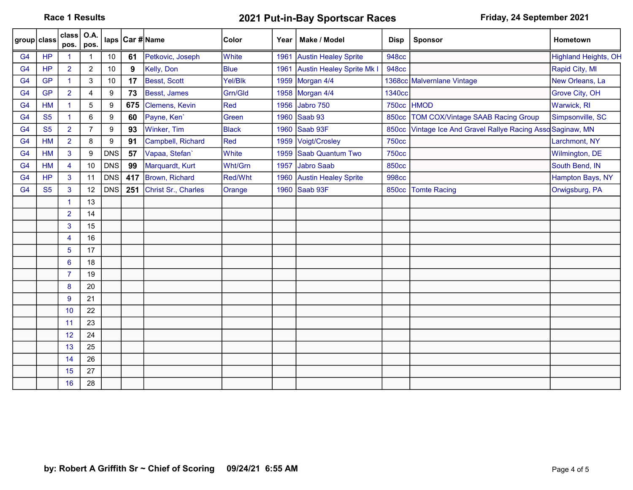Race 1 Results **2021 Put-in-Bay Sportscar Races** Friday, 24 September 2021

| group class    |           | class <br>pos.       | <b>O.A.</b><br>pos. |                  |     | laps   Car # Name   | Color        | Year | Make / Model                | <b>Disp</b>  | <b>Sponsor</b>                                       | Hometown                    |
|----------------|-----------|----------------------|---------------------|------------------|-----|---------------------|--------------|------|-----------------------------|--------------|------------------------------------------------------|-----------------------------|
| G <sub>4</sub> | <b>HP</b> |                      |                     | 10               | 61  | Petkovic, Joseph    | White        | 1961 | <b>Austin Healey Sprite</b> | <b>948cc</b> |                                                      | <b>Highland Heights, OH</b> |
| G <sub>4</sub> | <b>HP</b> | $\overline{2}$       | $\overline{2}$      | 10               | 9   | Kelly, Don          | <b>Blue</b>  | 1961 | Austin Healey Sprite Mk I   | <b>948cc</b> |                                                      | Rapid City, MI              |
| G <sub>4</sub> | <b>GP</b> | $\blacktriangleleft$ | 3                   | 10               | 17  | Besst, Scott        | Yel/Blk      |      | 1959 Morgan 4/4             |              | 1368cc Malvernlane Vintage                           | New Orleans, La             |
| G <sub>4</sub> | <b>GP</b> | $\overline{2}$       | 4                   | 9                | 73  | Besst, James        | Grn/Gld      | 1958 | Morgan 4/4                  | 1340cc       |                                                      | Grove City, OH              |
| G <sub>4</sub> | <b>HM</b> | $\blacktriangleleft$ | 5                   | $\boldsymbol{9}$ | 675 | Clemens, Kevin      | Red          | 1956 | Jabro 750                   | <b>750cc</b> | <b>HMOD</b>                                          | Warwick, RI                 |
| G <sub>4</sub> | <b>S5</b> | $\mathbf{1}$         | 6                   | $\boldsymbol{9}$ | 60  | Payne, Ken'         | Green        | 1960 | Saab 93                     | <b>850cc</b> | TOM COX/Vintage SAAB Racing Group                    | Simpsonville, SC            |
| G <sub>4</sub> | <b>S5</b> | $\overline{2}$       | 7                   | 9                | 93  | Winker, Tim         | <b>Black</b> | 1960 | Saab 93F                    | <b>850cc</b> | Vintage Ice And Gravel Rallye Racing AssoSaginaw, MN |                             |
| G <sub>4</sub> | <b>HM</b> | $\overline{2}$       | 8                   | $\boldsymbol{9}$ | 91  | Campbell, Richard   | Red          | 1959 | Voigt/Crosley               | <b>750cc</b> |                                                      | Larchmont, NY               |
| G <sub>4</sub> | <b>HM</b> | $\mathbf{3}$         | 9                   | <b>DNS</b>       | 57  | Vapaa, Stefan'      | White        | 1959 | Saab Quantum Two            | <b>750cc</b> |                                                      | Wilmington, DE              |
| G <sub>4</sub> | HM        | $\overline{4}$       | 10                  | <b>DNS</b>       | 99  | Marquardt, Kurt     | Wht/Grn      | 1957 | <b>Jabro Saab</b>           | <b>850cc</b> |                                                      | South Bend, IN              |
| G <sub>4</sub> | <b>HP</b> | 3                    | 11                  | <b>DNS</b>       | 417 | Brown, Richard      | Red/Wht      |      | 1960 Austin Healey Sprite   | <b>998cc</b> |                                                      | Hampton Bays, NY            |
| G <sub>4</sub> | <b>S5</b> | 3                    | 12                  | <b>DNS</b>       | 251 | Christ Sr., Charles | Orange       |      | 1960 Saab 93F               | <b>850cc</b> | <b>Tomte Racing</b>                                  | Orwigsburg, PA              |
|                |           | $\blacktriangleleft$ | 13                  |                  |     |                     |              |      |                             |              |                                                      |                             |
|                |           | $\overline{2}$       | 14                  |                  |     |                     |              |      |                             |              |                                                      |                             |
|                |           | 3                    | 15                  |                  |     |                     |              |      |                             |              |                                                      |                             |
|                |           | $\overline{4}$       | 16                  |                  |     |                     |              |      |                             |              |                                                      |                             |
|                |           | 5                    | 17                  |                  |     |                     |              |      |                             |              |                                                      |                             |
|                |           | 6                    | 18                  |                  |     |                     |              |      |                             |              |                                                      |                             |
|                |           | $\overline{7}$       | 19                  |                  |     |                     |              |      |                             |              |                                                      |                             |
|                |           | 8                    | 20                  |                  |     |                     |              |      |                             |              |                                                      |                             |
|                |           | $\overline{9}$       | 21                  |                  |     |                     |              |      |                             |              |                                                      |                             |
|                |           | 10                   | 22                  |                  |     |                     |              |      |                             |              |                                                      |                             |
|                |           | 11                   | 23                  |                  |     |                     |              |      |                             |              |                                                      |                             |
|                |           | 12                   | 24                  |                  |     |                     |              |      |                             |              |                                                      |                             |
|                |           | 13                   | 25                  |                  |     |                     |              |      |                             |              |                                                      |                             |
|                |           | 14                   | 26                  |                  |     |                     |              |      |                             |              |                                                      |                             |
|                |           | 15                   | 27                  |                  |     |                     |              |      |                             |              |                                                      |                             |
|                |           | 16                   | 28                  |                  |     |                     |              |      |                             |              |                                                      |                             |